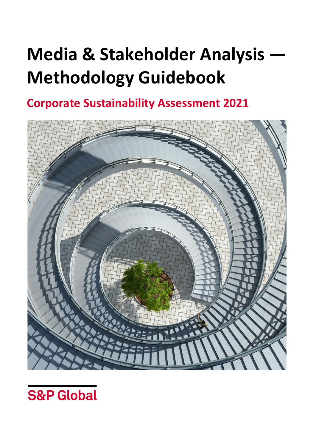# **Media & Stakeholder Analysis Methodology Guidebook**

**Corporate Sustainability Assessment 2021**



**S&P Global**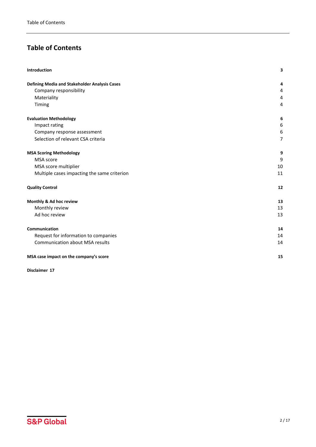# **Table of Contents**

| Introduction                                  | 3              |
|-----------------------------------------------|----------------|
| Defining Media and Stakeholder Analysis Cases | 4              |
| Company responsibility                        | 4              |
| Materiality                                   | 4              |
| Timing                                        | 4              |
| <b>Evaluation Methodology</b>                 | 6              |
| Impact rating                                 | 6              |
| Company response assessment                   | 6              |
| Selection of relevant CSA criteria            | $\overline{7}$ |
| <b>MSA Scoring Methodology</b>                | 9              |
| MSA score                                     | 9              |
| MSA score multiplier                          | 10             |
| Multiple cases impacting the same criterion   | 11             |
| <b>Quality Control</b>                        | 12             |
| Monthly & Ad hoc review                       | 13             |
| Monthly review                                | 13             |
| Ad hoc review                                 | 13             |
| Communication                                 | 14             |
| Request for information to companies          | 14             |
| <b>Communication about MSA results</b>        | 14             |
| MSA case impact on the company's score        | 15             |

**[Disclaimer](#page-16-0) 17**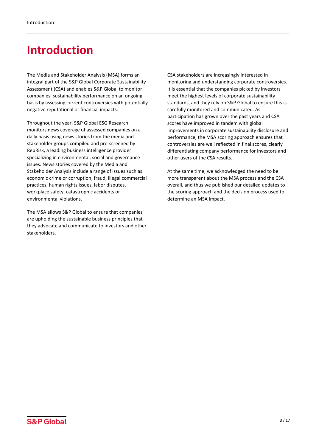# <span id="page-2-0"></span>**Introduction**

The Media and Stakeholder Analysis (MSA) forms an integral part of the S&P Global Corporate Sustainability Assessment (CSA) and enables S&P Global to monitor companies' sustainability performance on an ongoing basis by assessing current controversies with potentially negative reputational or financial impacts.

Throughout the year, S&P Global ESG Research monitors news coverage of assessed companies on a daily basis using news stories from the media and stakeholder groups compiled and pre-screened by RepRisk, a leading business intelligence provider specializing in environmental, social and governance issues. News stories covered by the Media and Stakeholder Analysis include a range of issues such as economic crime or corruption, fraud, illegal commercial practices, human rights issues, labor disputes, workplace safety, catastrophic accidents or environmental violations.

The MSA allows S&P Global to ensure that companies are upholding the sustainable business principles that they advocate and communicate to investors and other stakeholders.

CSA stakeholders are increasingly interested in monitoring and understanding corporate controversies. It is essential that the companies picked by investors meet the highest levels of corporate sustainability standards, and they rely on S&P Global to ensure this is carefully monitored and communicated. As participation has grown over the past years and CSA scores have improved in tandem with global improvements in corporate sustainability disclosure and performance, the MSA scoring approach ensures that controversies are well reflected in final scores, clearly differentiating company performance for investors and other users of the CSA results.

At the same time, we acknowledged the need to be more transparent about the MSA process and the CSA overall, and thus we published our detailed updates to the scoring approach and the decision process used to determine an MSA impact.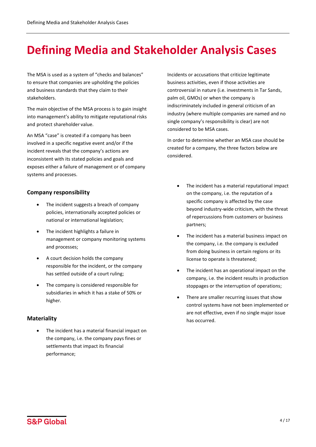# <span id="page-3-0"></span>**Defining Media and Stakeholder Analysis Cases**

The MSA is used as a system of "checks and balances" to ensure that companies are upholding the policies and business standards that they claim to their stakeholders.

The main objective of the MSA process is to gain insight into management's ability to mitigate reputational risks and protect shareholder value.

An MSA "case" is created if a company has been involved in a specific negative event and/or if the incident reveals that the company's actions are inconsistent with its stated policies and goals and exposes either a failure of management or of company systems and processes.

# <span id="page-3-1"></span>**Company responsibility**

- The incident suggests a breach of company policies, internationally accepted policies or national or international legislation;
- The incident highlights a failure in management or company monitoring systems and processes;
- A court decision holds the company responsible for the incident, or the company has settled outside of a court ruling;
- The company is considered responsible for subsidiaries in which it has a stake of 50% or higher.

### <span id="page-3-2"></span>**Materiality**

The incident has a material financial impact on the company, i.e. the company pays fines or settlements that impact its financial performance;

Incidents or accusations that criticize legitimate business activities, even if those activities are controversial in nature (i.e. investments in Tar Sands, palm oil, GMOs) or when the company is indiscriminately included in general criticism of an industry (where multiple companies are named and no single company's responsibility is clear) are not considered to be MSA cases.

In order to determine whether an MSA case should be created for a company, the three factors below are considered.

- The incident has a material reputational impact on the company, i.e. the reputation of a specific company is affected by the case beyond industry-wide criticism, with the threat of repercussions from customers or business partners;
- The incident has a material business impact on the company, i.e. the company is excluded from doing business in certain regions or its license to operate is threatened;
- The incident has an operational impact on the company, i.e. the incident results in production stoppages or the interruption of operations;
- <span id="page-3-3"></span>There are smaller recurring issues that show control systems have not been implemented or are not effective, even if no single major issue has occurred.

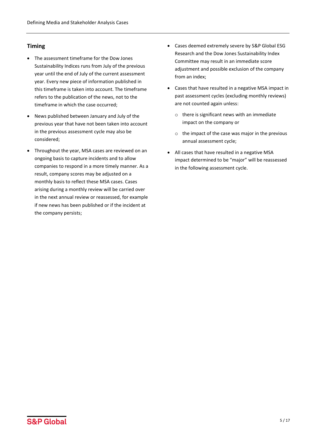# **Timing**

- The assessment timeframe for the Dow Jones Sustainability Indices runs from July of the previous year until the end of July of the current assessment year. Every new piece of information published in this timeframe is taken into account. The timeframe refers to the publication of the news, not to the timeframe in which the case occurred;
- News published between January and July of the previous year that have not been taken into account in the previous assessment cycle may also be considered;
- Throughout the year, MSA cases are reviewed on an ongoing basis to capture incidents and to allow companies to respond in a more timely manner. As a result, company scores may be adjusted on a monthly basis to reflect these MSA cases. Cases arising during a monthly review will be carried over in the next annual review or reassessed, for example if new news has been published or if the incident at the company persists;
- Cases deemed extremely severe by S&P Global ESG Research and the Dow Jones Sustainability Index Committee may result in an immediate score adjustment and possible exclusion of the company from an index;
- Cases that have resulted in a negative MSA impact in past assessment cycles (excluding monthly reviews) are not counted again unless:
	- $\circ$  there is significant news with an immediate impact on the company or
	- o the impact of the case was major in the previous annual assessment cycle;
- All cases that have resulted in a negative MSA impact determined to be "major" will be reassessed in the following assessment cycle.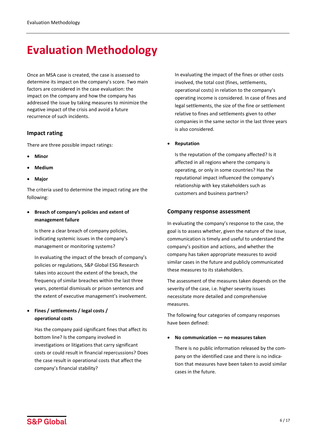# <span id="page-5-0"></span>**Evaluation Methodology**

Once an MSA case is created, the case is assessed to determine its impact on the company's score. Two main factors are considered in the case evaluation: the impact on the company and how the company has addressed the issue by taking measures to minimize the negative impact of the crisis and avoid a future recurrence of such incidents.

# <span id="page-5-1"></span>**Impact rating**

There are three possible impact ratings:

- **Minor**
- **Medium**
- **Major**

The criteria used to determine the impact rating are the following:

• **Breach of company's policies and extent of management failure**

Is there a clear breach of company policies, indicating systemic issues in the company's management or monitoring systems?

In evaluating the impact of the breach of company's policies or regulations, S&P Global ESG Research takes into account the extent of the breach, the frequency of similar breaches within the last three years, potential dismissals or prison sentences and the extent of executive management's involvement.

# • **Fines / settlements / legal costs / operational costs**

Has the company paid significant fines that affect its bottom line? Is the company involved in investigations or litigations that carry significant costs or could result in financial repercussions? Does the case result in operational costs that affect the company's financial stability?

In evaluating the impact of the fines or other costs involved, the total cost (fines, settlements, operational costs) in relation to the company's operating income is considered. In case of fines and legal settlements, the size of the fine or settlement relative to fines and settlements given to other companies in the same sector in the last three years is also considered.

• **Reputation**

Is the reputation of the company affected? Is it affected in all regions where the company is operating, or only in some countries? Has the reputational impact influenced the company's relationship with key stakeholders such as customers and business partners?

# <span id="page-5-2"></span>**Company response assessment**

In evaluating the company's response to the case, the goal is to assess whether, given the nature of the issue, communication is timely and useful to understand the company's position and actions, and whether the company has taken appropriate measures to avoid similar cases in the future and publicly communicated these measures to its stakeholders.

The assessment of the measures taken depends on the severity of the case, i.e. higher severity issues necessitate more detailed and comprehensive measures.

The following four categories of company responses have been defined:

• **No communication — no measures taken**

There is no public information released by the company on the identified case and there is no indication that measures have been taken to avoid similar cases in the future.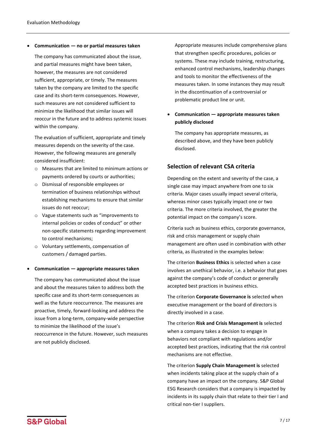• **Communication — no or partial measures taken**

The company has communicated about the issue, and partial measures might have been taken, however, the measures are not considered sufficient, appropriate, or timely. The measures taken by the company are limited to the specific case and its short-term consequences. However, such measures are not considered sufficient to minimize the likelihood that similar issues will reoccur in the future and to address systemic issues within the company.

The evaluation of sufficient, appropriate and timely measures depends on the severity of the case. However, the following measures are generally considered insufficient:

- o Measures that are limited to minimum actions or payments ordered by courts or authorities;
- o Dismissal of responsible employees or termination of business relationships without establishing mechanisms to ensure that similar issues do not reoccur;
- o Vague statements such as "improvements to internal policies or codes of conduct" or other non-specific statements regarding improvement to control mechanisms;
- o Voluntary settlements, compensation of customers / damaged parties.

#### • **Communication — appropriate measures taken**

The company has communicated about the issue and about the measures taken to address both the specific case and its short-term consequences as well as the future reoccurrence. The measures are proactive, timely, forward-looking and address the issue from a long-term, company-wide perspective to minimize the likelihood of the issue's reoccurrence in the future. However, such measures are not publicly disclosed.

Appropriate measures include comprehensive plans that strengthen specific procedures, policies or systems. These may include training, restructuring, enhanced control mechanisms, leadership changes and tools to monitor the effectiveness of the measures taken. In some instances they may result in the discontinuation of a controversial or problematic product line or unit.

# • **Communication — appropriate measures taken publicly disclosed**

The company has appropriate measures, as described above, and they have been publicly disclosed.

# <span id="page-6-0"></span>**Selection of relevant CSA criteria**

Depending on the extent and severity of the case, a single case may impact anywhere from one to six criteria. Major cases usually impact several criteria, whereas minor cases typically impact one or two criteria. The more criteria involved, the greater the potential impact on the company's score.

Criteria such as business ethics, corporate governance, risk and crisis management or supply chain management are often used in combination with other criteria, as illustrated in the examples below:

The criterion **Business Ethics** is selected when a case involves an unethical behavior, i.e. a behavior that goes against the company's code of conduct or generally accepted best practices in business ethics.

The criterion **Corporate Governance is** selected when executive management or the board of directors is directly involved in a case.

The criterion **Risk and Crisis Management is** selected when a company takes a decision to engage in behaviors not compliant with regulations and/or accepted best practices, indicating that the risk control mechanisms are not effective.

The criterion **Supply Chain Management is** selected when incidents taking place at the supply chain of a company have an impact on the company. S&P Global ESG Research considers that a company is impacted by incidents in its supply chain that relate to their tier I and critical non-tier I suppliers.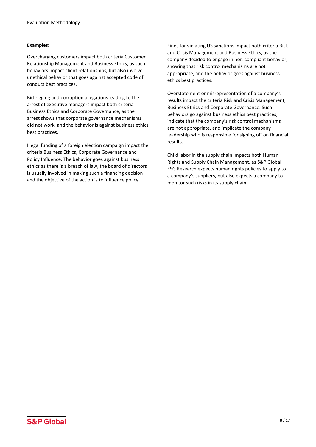#### **Examples:**

Overcharging customers impact both criteria Customer Relationship Management and Business Ethics, as such behaviors impact client relationships, but also involve unethical behavior that goes against accepted code of conduct best practices.

Bid-rigging and corruption allegations leading to the arrest of executive managers impact both criteria Business Ethics and Corporate Governance, as the arrest shows that corporate governance mechanisms did not work, and the behavior is against business ethics best practices.

Illegal funding of a foreign election campaign impact the criteria Business Ethics, Corporate Governance and Policy Influence. The behavior goes against business ethics as there is a breach of law, the board of directors is usually involved in making such a financing decision and the objective of the action is to influence policy.

Fines for violating US sanctions impact both criteria Risk and Crisis Management and Business Ethics, as the company decided to engage in non-compliant behavior, showing that risk control mechanisms are not appropriate, and the behavior goes against business ethics best practices.

Overstatement or misrepresentation of a company's results impact the criteria Risk and Crisis Management, Business Ethics and Corporate Governance. Such behaviors go against business ethics best practices, indicate that the company's risk control mechanisms are not appropriate, and implicate the company leadership who is responsible for signing off on financial results.

Child labor in the supply chain impacts both Human Rights and Supply Chain Management, as S&P Global ESG Research expects human rights policies to apply to a company's suppliers, but also expects a company to monitor such risks in its supply chain.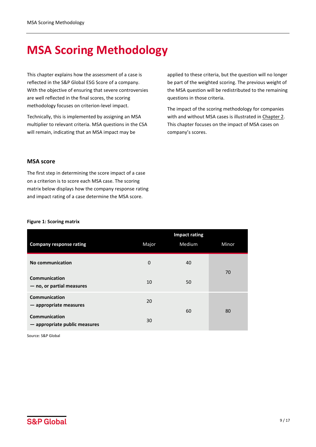# <span id="page-8-0"></span>**MSA Scoring Methodology**

This chapter explains how the assessment of a case is reflected in the S&P Global ESG Score of a company. With the objective of ensuring that severe controversies are well reflected in the final scores, the scoring methodology focuses on criterion-level impact.

Technically, this is implemented by assigning an MSA multiplier to relevant criteria. MSA questions in the CSA will remain, indicating that an MSA impact may be

applied to these criteria, but the question will no longer be part of the weighted scoring. The previous weight of the MSA question will be redistributed to the remaining questions in those criteria.

The impact of the scoring methodology for companies with and without MSA cases is illustrated in Chapter 2. This chapter focuses on the impact of MSA cases on company's scores.

### <span id="page-8-1"></span>**MSA score**

The first step in determining the score impact of a case on a criterion is to score each MSA case. The scoring matrix below displays how the company response rating and impact rating of a case determine the MSA score.

#### **Figure 1: Scoring matrix**

|                                                       | <b>Impact rating</b> |        |       |
|-------------------------------------------------------|----------------------|--------|-------|
| <b>Company response rating</b>                        | Major                | Medium | Minor |
| <b>No communication</b>                               | $\mathbf{0}$         | 40     |       |
| <b>Communication</b><br>- no, or partial measures     | 10                   | 50     | 70    |
| <b>Communication</b><br>$-$ appropriate measures      | 20                   | 60     | 80    |
| <b>Communication</b><br>- appropriate public measures | 30                   |        |       |

Source: S&P Global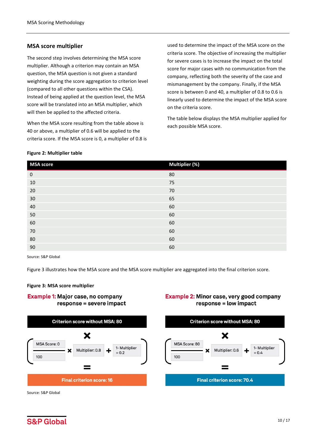### <span id="page-9-0"></span>**MSA score multiplier**

The second step involves determining the MSA score multiplier. Although a criterion may contain an MSA question, the MSA question is not given a standard weighting during the score aggregation to criterion level (compared to all other questions within the CSA). Instead of being applied at the question level, the MSA score will be translated into an MSA multiplier, which will then be applied to the affected criteria.

When the MSA score resulting from the table above is 40 or above, a multiplier of 0.6 will be applied to the criteria score. If the MSA score is 0, a multiplier of 0.8 is used to determine the impact of the MSA score on the criteria score. The objective of increasing the multiplier for severe cases is to increase the impact on the total score for major cases with no communication from the company, reflecting both the severity of the case and mismanagement by the company. Finally, if the MSA score is between 0 and 40, a multiplier of 0.8 to 0.6 is linearly used to determine the impact of the MSA score on the criteria score.

The table below displays the MSA multiplier applied for each possible MSA score.

#### **Figure 2: Multiplier table**

| <b>MSA score</b> | Multiplier (%) |
|------------------|----------------|
| $\mathbf 0$      | 80             |
| 10               | 75             |
| 20               | 70             |
| 30               | 65             |
| 40               | 60             |
| 50               | 60             |
| 60               | 60             |
| 70               | 60             |
| 80               | 60             |
| 90               | 60             |

Source: S&P Global

Figure 3 illustrates how the MSA score and the MSA score multiplier are aggregated into the final criterion score.

#### **Figure 3: MSA score multiplier**

### **Example 1: Major case, no company** response = severe impact



### Example 2: Minor case, very good company response = low impact



Source: S&P Global

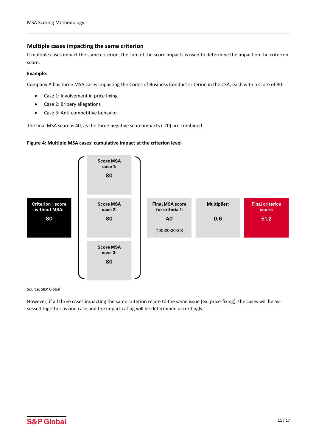# <span id="page-10-0"></span>**Multiple cases impacting the same criterion**

If multiple cases impact the same criterion, the sum of the score impacts is used to determine the impact on the criterion score.

#### **Example:**

Company A has three MSA cases impacting the Codes of Business Conduct criterion in the CSA, each with a score of 80:

- Case 1: Involvement in price fixing
- Case 2: Bribery allegations
- Case 3: Anti-competitive behavior

The final MSA score is 40, as the three negative score impacts (-20) are combined.

#### **Figure 4: Multiple MSA cases' cumulative impact at the criterion level**



Source: S&P Global

However, if all three cases impacting the same criterion relate to the same issue (ex: price-fixing), the cases will be assessed together as one case and the impact rating will be determined accordingly.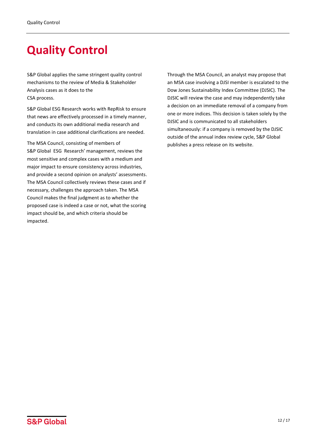# <span id="page-11-0"></span>**Quality Control**

S&P Global applies the same stringent quality control mechanisms to the review of Media & Stakeholder Analysis cases as it does to the CSA process.

S&P Global ESG Research works with RepRisk to ensure that news are effectively processed in a timely manner, and conducts its own additional media research and translation in case additional clarifications are needed.

The MSA Council, consisting of members of S&P Global ESG Research' management, reviews the most sensitive and complex cases with a medium and major impact to ensure consistency across industries, and provide a second opinion on analysts' assessments. The MSA Council collectively reviews these cases and if necessary, challenges the approach taken. The MSA Council makes the final judgment as to whether the proposed case is indeed a case or not, what the scoring impact should be, and which criteria should be impacted.

Through the MSA Council, an analyst may propose that an MSA case involving a DJSI member is escalated to the Dow Jones Sustainability Index Committee (DJSIC). The DJSIC will review the case and may independently take a decision on an immediate removal of a company from one or more indices. This decision is taken solely by the DJSIC and is communicated to all stakeholders simultaneously: if a company is removed by the DJSIC outside of the annual index review cycle, S&P Global publishes a press release on its website.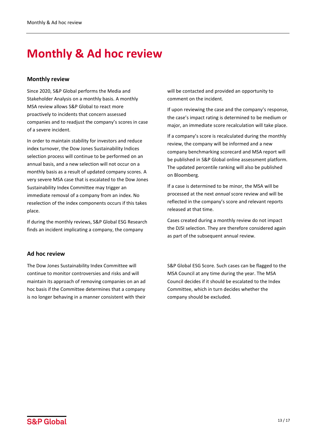# <span id="page-12-0"></span>**Monthly & Ad hoc review**

### <span id="page-12-1"></span>**Monthly review**

Since 2020, S&P Global performs the Media and Stakeholder Analysis on a monthly basis. A monthly MSA review allows S&P Global to react more proactively to incidents that concern assessed companies and to readjust the company's scores in case of a severe incident.

In order to maintain stability for investors and reduce index turnover, the Dow Jones Sustainability Indices selection process will continue to be performed on an annual basis, and a new selection will not occur on a monthly basis as a result of updated company scores. A very severe MSA case that is escalated to the Dow Jones Sustainability Index Committee may trigger an immediate removal of a company from an index. No reselection of the index components occurs if this takes place.

If during the monthly reviews, S&P Global ESG Research finds an incident implicating a company, the company

# <span id="page-12-2"></span>**Ad hoc review**

The Dow Jones Sustainability Index Committee will continue to monitor controversies and risks and will maintain its approach of removing companies on an ad hoc basis if the Committee determines that a company is no longer behaving in a manner consistent with their will be contacted and provided an opportunity to comment on the incident.

If upon reviewing the case and the company's response, the case's impact rating is determined to be medium or major, an immediate score recalculation will take place.

If a company's score is recalculated during the monthly review, the company will be informed and a new company benchmarking scorecard and MSA report will be published in S&P Global online assessment platform. The updated percentile ranking will also be published on Bloomberg.

If a case is determined to be minor, the MSA will be processed at the next *annual* score review and will be reflected in the company's score and relevant reports released at that time.

Cases created during a monthly review do not impact the DJSI selection. They are therefore considered again as part of the subsequent annual review.

S&P Global ESG Score. Such cases can be flagged to the MSA Council at any time during the year. The MSA Council decides if it should be escalated to the Index Committee, which in turn decides whether the company should be excluded.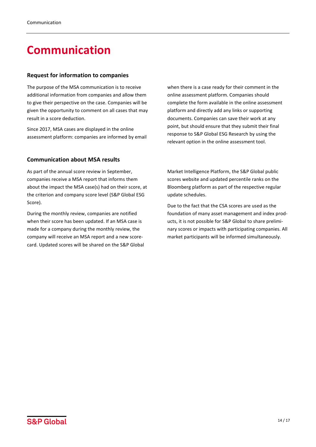# <span id="page-13-0"></span>**Communication**

# <span id="page-13-1"></span>**Request for information to companies**

The purpose of the MSA communication is to receive additional information from companies and allow them to give their perspective on the case. Companies will be given the opportunity to comment on all cases that may result in a score deduction.

Since 2017, MSA cases are displayed in the online assessment platform: companies are informed by email

# <span id="page-13-2"></span>**Communication about MSA results**

As part of the annual score review in September, companies receive a MSA report that informs them about the impact the MSA case(s) had on their score, at the criterion and company score level (S&P Global ESG Score).

During the monthly review, companies are notified when their score has been updated. If an MSA case is made for a company during the monthly review, the company will receive an MSA report and a new scorecard. Updated scores will be shared on the S&P Global when there is a case ready for their comment in the online assessment platform. Companies should complete the form available in the online assessment platform and directly add any links or supporting documents. Companies can save their work at any point, but should ensure that they submit their final response to S&P Global ESG Research by using the relevant option in the online assessment tool.

Market Intelligence Platform, the S&P Global public scores website and updated percentile ranks on the Bloomberg platform as part of the respective regular update schedules.

Due to the fact that the CSA scores are used as the foundation of many asset management and index products, it is not possible for S&P Global to share preliminary scores or impacts with participating companies. All market participants will be informed simultaneously.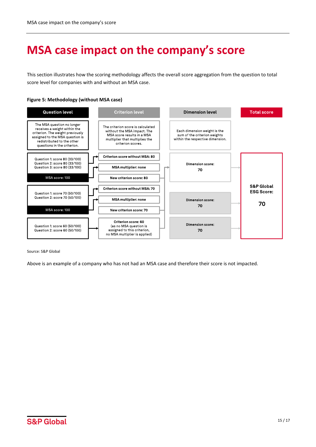# <span id="page-14-0"></span>**MSA case impact on the company's score**

This section illustrates how the scoring methodology affects the overall score aggregation from the question to total score level for companies with and without an MSA case.

#### **Figure 5: Methodology (without MSA case)**



Source: S&P Global

Above is an example of a company who has not had an MSA case and therefore their score is not impacted.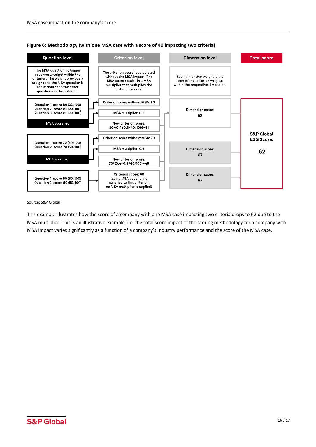

**Figure 6: Methodology (with one MSA case with a score of 40 impacting two criteria)**

#### Source: S&P Global

This example illustrates how the score of a company with one MSA case impacting two criteria drops to 62 due to the MSA multiplier. This is an illustrative example, i.e. the total score impact of the scoring methodology for a company with MSA impact varies significantly as a function of a company's industry performance and the score of the MSA case.